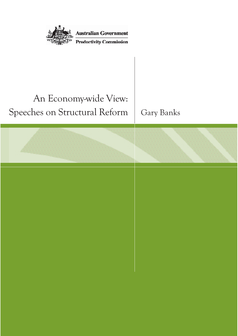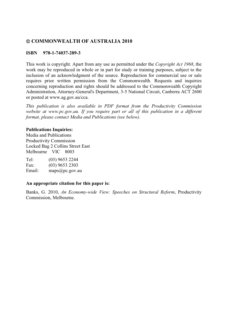### © COMMONWEALTH OF AUSTRALIA 2010

#### **ISBN 978-1-74037-289-3**

This work is copyright. Apart from any use as permitted under the *Copyright Act 1968*, the work may be reproduced in whole or in part for study or training purposes, subject to the inclusion of an acknowledgment of the source. Reproduction for commercial use or sale requires prior written permission from the Commonwealth. Requests and inquiries concerning reproduction and rights should be addressed to the Commonwealth Copyright Administration, Attorney-General's Department, 3-5 National Circuit, Canberra ACT 2600 or posted at www.ag.gov.au/cca.

*This publication is also available in PDF format from the Productivity Commission website at www.pc.gov.au. If you require part or all of this publication in a different format, please contact Media and Publications (see below).* 

#### **Publications Inquiries:**

Media and Publications Productivity Commission Locked Bag 2 Collins Street East Melbourne VIC 8003

Tel: (03) 9653 2244<br>Fax: (03) 9653 2303  $(03)$  9653 2303 Email: maps@pc.gov.au

#### **An appropriate citation for this paper is:**

Banks, G. 2010, *An Economy-wide View: Speeches on Structural Reform*, Productivity Commission, Melbourne.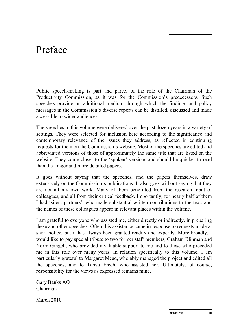## Preface

Public speech-making is part and parcel of the role of the Chairman of the Productivity Commission, as it was for the Commission's predecessors. Such speeches provide an additional medium through which the findings and policy messages in the Commission's diverse reports can be distilled, discussed and made accessible to wider audiences.

The speeches in this volume were delivered over the past dozen years in a variety of settings. They were selected for inclusion here according to the significance and contemporary relevance of the issues they address, as reflected in continuing requests for them on the Commission's website. Most of the speeches are edited and abbreviated versions of those of approximately the same title that are listed on the website. They come closer to the 'spoken' versions and should be quicker to read than the longer and more detailed papers.

It goes without saying that the speeches, and the papers themselves, draw extensively on the Commission's publications. It also goes without saying that they are not all my own work. Many of them benefitted from the research input of colleagues, and all from their critical feedback. Importantly, for nearly half of them I had 'silent partners', who made substantial written contributions to the text; and the names of these colleagues appear in relevant places within the volume.

I am grateful to everyone who assisted me, either directly or indirectly, in preparing these and other speeches. Often this assistance came in response to requests made at short notice, but it has always been granted readily and expertly. More broadly, I would like to pay special tribute to two former staff members, Graham Blinman and Norm Gingell, who provided invaluable support to me and to those who preceded me in this role over many years. In relation specifically to this volume, I am particularly grateful to Margaret Mead, who ably managed the project and edited all the speeches, and to Tanya Frech, who assisted her. Ultimately, of course, responsibility for the views as expressed remains mine.

Gary Banks AO Chairman

March 2010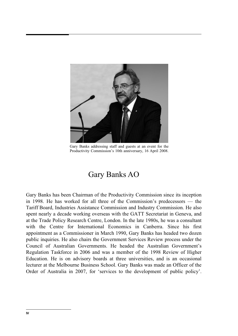

Gary Banks addressing staff and guests at an event for the Productivity Commission's 10th anniversary, 16 April 2008.

### Gary Banks AO

Gary Banks has been Chairman of the Productivity Commission since its inception in 1998. He has worked for all three of the Commission's predecessors — the Tariff Board, Industries Assistance Commission and Industry Commission. He also spent nearly a decade working overseas with the GATT Secretariat in Geneva, and at the Trade Policy Research Centre, London. In the late 1980s, he was a consultant with the Centre for International Economics in Canberra. Since his first appointment as a Commissioner in March 1990, Gary Banks has headed two dozen public inquiries. He also chairs the Government Services Review process under the Council of Australian Governments. He headed the Australian Government's Regulation Taskforce in 2006 and was a member of the 1998 Review of Higher Education. He is on advisory boards at three universities, and is an occasional lecturer at the Melbourne Business School. Gary Banks was made an Officer of the Order of Australia in 2007, for 'services to the development of public policy'.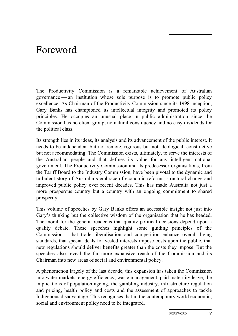# Foreword

The Productivity Commission is a remarkable achievement of Australian governance — an institution whose sole purpose is to promote public policy excellence. As Chairman of the Productivity Commission since its 1998 inception, Gary Banks has championed its intellectual integrity and promoted its policy principles. He occupies an unusual place in public administration since the Commission has no client group, no natural constituency and no easy dividends for the political class.

Its strength lies in its ideas, its analysis and its advancement of the public interest. It needs to be independent but not remote, rigorous but not ideological, constructive but not accommodating. The Commission exists, ultimately, to serve the interests of the Australian people and that defines its value for any intelligent national government. The Productivity Commission and its predecessor organisations, from the Tariff Board to the Industry Commission, have been pivotal to the dynamic and turbulent story of Australia's embrace of economic reforms, structural change and improved public policy over recent decades. This has made Australia not just a more prosperous country but a country with an ongoing commitment to shared prosperity.

This volume of speeches by Gary Banks offers an accessible insight not just into Gary's thinking but the collective wisdom of the organisation that he has headed. The moral for the general reader is that quality political decisions depend upon a quality debate. These speeches highlight some guiding principles of the Commission — that trade liberalisation and competition enhance overall living standards, that special deals for vested interests impose costs upon the public, that new regulations should deliver benefits greater than the costs they impose. But the speeches also reveal the far more expansive reach of the Commission and its Chairman into new areas of social and environmental policy.

A phenomenon largely of the last decade, this expansion has taken the Commission into water markets, energy efficiency, waste management, paid maternity leave, the implications of population ageing, the gambling industry, infrastructure regulation and pricing, health policy and costs and the assessment of approaches to tackle Indigenous disadvantage. This recognises that in the contemporary world economic, social and environment policy need to be integrated.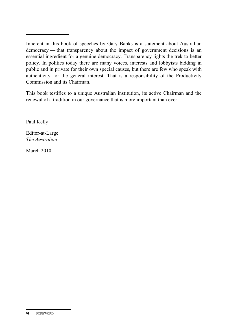Inherent in this book of speeches by Gary Banks is a statement about Australian democracy — that transparency about the impact of government decisions is an essential ingredient for a genuine democracy. Transparency lights the trek to better policy. In politics today there are many voices, interests and lobbyists bidding in public and in private for their own special causes, but there are few who speak with authenticity for the general interest. That is a responsibility of the Productivity Commission and its Chairman.

This book testifies to a unique Australian institution, its active Chairman and the renewal of a tradition in our governance that is more important than ever.

Paul Kelly

Editor-at-Large *The Australian*

March 2010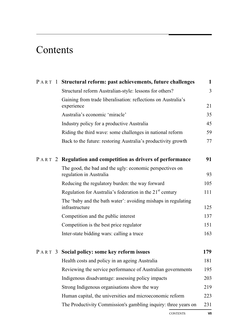# Contents

|  | <b>PART 1 Structural reform: past achievements, future challenges</b>               | $\mathbf{1}$   |
|--|-------------------------------------------------------------------------------------|----------------|
|  | Structural reform Australian-style: lessons for others?                             | $\overline{3}$ |
|  | Gaining from trade liberalisation: reflections on Australia's<br>experience         | 21             |
|  | Australia's economic 'miracle'                                                      | 35             |
|  | Industry policy for a productive Australia                                          | 45             |
|  | Riding the third wave: some challenges in national reform                           | 59             |
|  | Back to the future: restoring Australia's productivity growth                       | 77             |
|  | <b>PART 2 Regulation and competition as drivers of performance</b>                  | 91             |
|  | The good, the bad and the ugly: economic perspectives on<br>regulation in Australia | 93             |
|  | Reducing the regulatory burden: the way forward                                     | 105            |
|  | Regulation for Australia's federation in the 21 <sup>st</sup> century               | 111            |
|  | The 'baby and the bath water': avoiding mishaps in regulating<br>infrastructure     | 125            |
|  | Competition and the public interest                                                 | 137            |
|  | Competition is the best price regulator                                             | 151            |
|  | Inter-state bidding wars: calling a truce                                           | 163            |
|  | <b>PART 3 Social policy: some key reform issues</b>                                 | 179            |
|  | Health costs and policy in an ageing Australia                                      | 181            |
|  | Reviewing the service performance of Australian governments                         | 195            |
|  | Indigenous disadvantage: assessing policy impacts                                   | 203            |
|  | Strong Indigenous organisations show the way                                        | 219            |
|  | Human capital, the universities and microeconomic reform                            | 223            |
|  | The Productivity Commission's gambling inquiry: three years on                      | 231            |

CONTENTS **VII**